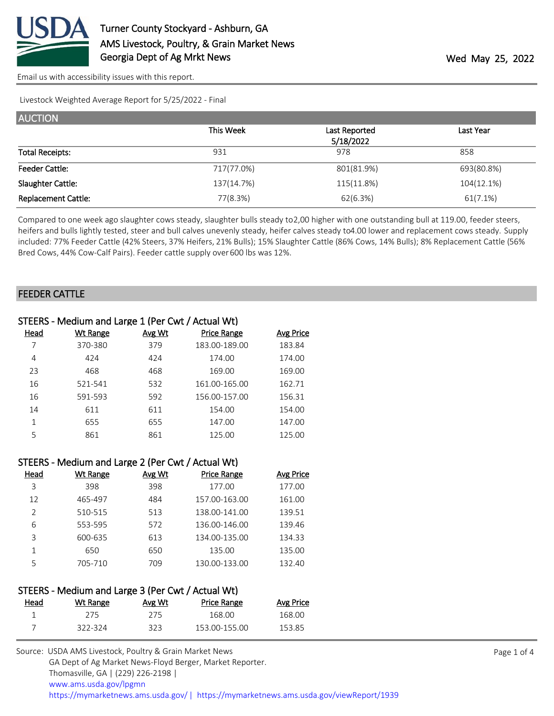

[Email us with accessibility issues with this report.](mailto:mars@ams.usda.gov?subject=508%20issue)

Livestock Weighted Average Report for 5/25/2022 - Final

| <b>AUCTION</b>             |            |               |            |
|----------------------------|------------|---------------|------------|
|                            | This Week  | Last Reported | Last Year  |
|                            |            | 5/18/2022     |            |
| <b>Total Receipts:</b>     | 931        | 978           | 858        |
| <b>Feeder Cattle:</b>      | 717(77.0%) | 801(81.9%)    | 693(80.8%) |
| Slaughter Cattle:          | 137(14.7%) | 115(11.8%)    | 104(12.1%) |
| <b>Replacement Cattle:</b> | 77(8.3%)   | 62(6.3%)      | 61(7.1%)   |

Compared to one week ago slaughter cows steady, slaughter bulls steady to 2,00 higher with one outstanding bull at 119.00, feeder steers, heifers and bulls lightly tested, steer and bull calves unevenly steady, heifer calves steady to 4.00 lower and replacement cows steady. Supply included: 77% Feeder Cattle (42% Steers, 37% Heifers, 21% Bulls); 15% Slaughter Cattle (86% Cows, 14% Bulls); 8% Replacement Cattle (56% Bred Cows, 44% Cow-Calf Pairs). Feeder cattle supply over 600 lbs was 12%.

#### FEEDER CATTLE

|      | STEERS - Medium and Large 1 (Per Cwt / Actual Wt) |               |                    |                  |  |  |  |
|------|---------------------------------------------------|---------------|--------------------|------------------|--|--|--|
| Head | Wt Range                                          | <b>Avg Wt</b> | <b>Price Range</b> | <b>Avg Price</b> |  |  |  |
|      | 370-380                                           | 379           | 183.00-189.00      | 183.84           |  |  |  |
| 4    | 424                                               | 424           | 174.00             | 174.00           |  |  |  |
| 23   | 468                                               | 468           | 169.00             | 169.00           |  |  |  |
| 16   | 521-541                                           | 532           | 161.00-165.00      | 162.71           |  |  |  |
| 16   | 591-593                                           | 592           | 156.00-157.00      | 156.31           |  |  |  |
| 14   | 611                                               | 611           | 154.00             | 154.00           |  |  |  |
| 1    | 655                                               | 655           | 147.00             | 147.00           |  |  |  |
| 5    | 861                                               | 861           | 125.00             | 125.00           |  |  |  |

| STEERS - Medium and Large 2 (Per Cwt / Actual Wt) |                 |        |                    |           |  |  |
|---------------------------------------------------|-----------------|--------|--------------------|-----------|--|--|
| Head                                              | <b>Wt Range</b> | Avg Wt | <b>Price Range</b> | Avg Price |  |  |
| 3                                                 | 398             | 398    | 177.00             | 177.00    |  |  |
| 12                                                | 465-497         | 484    | 157.00-163.00      | 161.00    |  |  |
| $\mathcal{P}$                                     | 510-515         | 513    | 138.00-141.00      | 139.51    |  |  |
| 6                                                 | 553-595         | 572    | 136.00-146.00      | 139.46    |  |  |
| 3                                                 | 600-635         | 613    | 134.00-135.00      | 134.33    |  |  |
| 1                                                 | 650             | 650    | 135.00             | 135.00    |  |  |
| 5                                                 | 705-710         | 709    | 130.00-133.00      | 132.40    |  |  |

#### STEERS - Medium and Large 3 (Per Cwt / Actual Wt)

| <u>Head</u> | Wt Range | Avg Wt | <b>Price Range</b> | <b>Avg Price</b> |
|-------------|----------|--------|--------------------|------------------|
|             | 275      | 275    | 168 NO             | 168.OO           |
|             | 322-324  | 323    | 153.00-155.00      | 153.85           |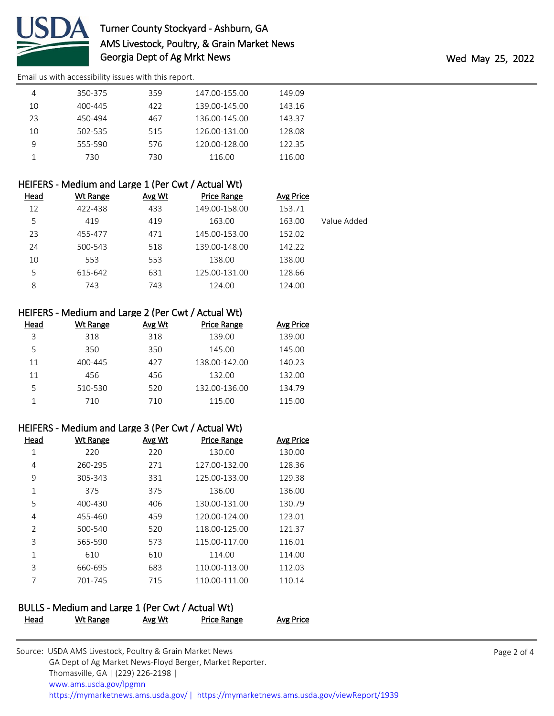

# Turner County Stockyard - Ashburn, GA AMS Livestock, Poultry, & Grain Market News Georgia Dept of Ag Mrkt News Wed May 25, 2022

[Email us with accessibility issues with this report.](mailto:mars@ams.usda.gov?subject=508%20issue)

|    | 350-375 | 359 | 147.00-155.00 | 149.09 |  |
|----|---------|-----|---------------|--------|--|
| 10 | 400-445 | 422 | 139.00-145.00 | 143.16 |  |
| 23 | 450-494 | 467 | 136.00-145.00 | 143.37 |  |
| 10 | 502-535 | 515 | 126.00-131.00 | 128.08 |  |
| 9  | 555-590 | 576 | 120.00-128.00 | 122.35 |  |
|    | 730     | 730 | 116.00        | 116.00 |  |

| HEIFERS - Medium and Large 1 (Per Cwt / Actual Wt) |
|----------------------------------------------------|
|----------------------------------------------------|

| <u>Head</u> | <b>Wt Range</b> | Avg Wt | <b>Price Range</b> | <b>Avg Price</b> |             |
|-------------|-----------------|--------|--------------------|------------------|-------------|
| 12          | 422-438         | 433    | 149.00-158.00      | 153.71           |             |
| 5           | 419             | 419    | 163.00             | 163.00           | Value Added |
| 23          | 455-477         | 471    | 145.00-153.00      | 152.02           |             |
| 24          | 500-543         | 518    | 139.00-148.00      | 142.22           |             |
| 10          | 553             | 553    | 138.00             | 138.00           |             |
| 5           | 615-642         | 631    | 125.00-131.00      | 128.66           |             |
| 8           | 743             | 743    | 124.00             | 124.00           |             |

# HEIFERS - Medium and Large 2 (Per Cwt / Actual Wt)

| Head | Wt Range | Avg Wt | <b>Price Range</b> | Avg Price |
|------|----------|--------|--------------------|-----------|
| 3    | 318      | 318    | 139.00             | 139.00    |
| 5    | 350      | 350    | 145.00             | 145.00    |
| 11   | 400-445  | 427    | 138.00-142.00      | 140.23    |
| 11   | 456      | 456    | 132.00             | 132.00    |
| 5    | 510-530  | 520    | 132.00-136.00      | 134.79    |
|      | 710      | 710    | 115.00             | 115.00    |

#### HEIFERS - Medium and Large 3 (Per Cwt / Actual Wt)

| Head           | Wt Range | Avg Wt | <b>Price Range</b> | <b>Avg Price</b> |
|----------------|----------|--------|--------------------|------------------|
|                | 220      | 220    | 130.00             | 130.00           |
| 4              | 260-295  | 271    | 127.00-132.00      | 128.36           |
| 9              | 305-343  | 331    | 125.00-133.00      | 129.38           |
| 1              | 375      | 375    | 136.00             | 136.00           |
| 5              | 400-430  | 406    | 130.00-131.00      | 130.79           |
| 4              | 455-460  | 459    | 120.00-124.00      | 123.01           |
| $\mathfrak{D}$ | 500-540  | 520    | 118.00-125.00      | 121.37           |
| 3              | 565-590  | 573    | 115.00-117.00      | 116.01           |
| 1              | 610      | 610    | 114.00             | 114.00           |
| 3              | 660-695  | 683    | 110.00-113.00      | 112.03           |
| 7              | 701-745  | 715    | 110.00-111.00      | 110.14           |
|                |          |        |                    |                  |

# BULLS - Medium and Large 1 (Per Cwt / Actual Wt) Head Wt Range Avg Wt Price Range Avg Price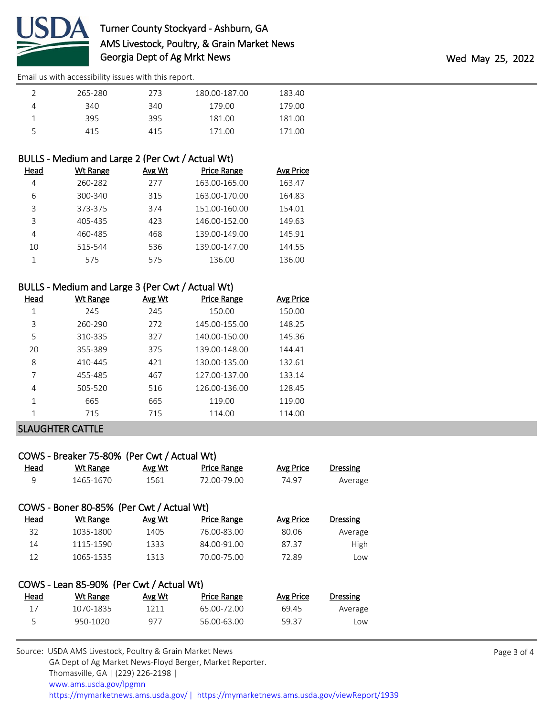

[Email us with accessibility issues with this report.](mailto:mars@ams.usda.gov?subject=508%20issue)

| 265-280 | 273 | 180.00-187.00 | 183.40 |
|---------|-----|---------------|--------|
| 340     | 340 | 179.00        | 179.00 |
| 395     | 395 | 181.00        | 181.00 |
| 415     | 415 | 171.00        | .71.00 |

## BULLS - Medium and Large 2 (Per Cwt / Actual Wt)

| Head | Wt Range | Avg Wt | <b>Price Range</b> | Avg Price |
|------|----------|--------|--------------------|-----------|
| 4    | 260-282  | 277    | 163.00-165.00      | 163.47    |
| 6    | 300-340  | 315    | 163.00-170.00      | 164.83    |
| 3    | 373-375  | 374    | 151.00-160.00      | 154.01    |
| 3    | 405-435  | 423    | 146.00-152.00      | 149.63    |
| 4    | 460-485  | 468    | 139.00-149.00      | 145.91    |
| 10   | 515-544  | 536    | 139.00-147.00      | 144.55    |
|      | 575      | 575    | 136.00             | 136.00    |

#### BULLS - Medium and Large 3 (Per Cwt / Actual Wt)

| Head | <b>Wt Range</b> | Avg Wt | <b>Price Range</b> | Avg Price |
|------|-----------------|--------|--------------------|-----------|
| 1    | 245             | 245    | 150.00             | 150.00    |
| 3    | 260-290         | 272    | 145.00-155.00      | 148.25    |
| 5    | 310-335         | 327    | 140.00-150.00      | 145.36    |
| 20   | 355-389         | 375    | 139.00-148.00      | 144.41    |
| 8    | 410-445         | 421    | 130.00-135.00      | 132.61    |
| 7    | 455-485         | 467    | 127.00-137.00      | 133.14    |
| 4    | 505-520         | 516    | 126.00-136.00      | 128.45    |
| 1    | 665             | 665    | 119.00             | 119.00    |
| 1    | 715             | 715    | 114.00             | 114.00    |

## SLAUGHTER CATTLE

| COWS - Breaker 75-80% (Per Cwt / Actual Wt) |                                           |        |                    |           |                 |  |  |  |
|---------------------------------------------|-------------------------------------------|--------|--------------------|-----------|-----------------|--|--|--|
| Head                                        | Wt Range                                  | Avg Wt | <b>Price Range</b> | Avg Price | <b>Dressing</b> |  |  |  |
| 9                                           | 1465-1670                                 | 1561   | 72.00-79.00        | 74.97     | Average         |  |  |  |
|                                             | COWS - Boner 80-85% (Per Cwt / Actual Wt) |        |                    |           |                 |  |  |  |
| Head                                        | <b>Wt Range</b>                           | Avg Wt | <b>Price Range</b> | Avg Price | <b>Dressing</b> |  |  |  |
| 32                                          | 1035-1800                                 | 1405   | 76.00-83.00        | 80.06     | Average         |  |  |  |
| 14                                          | 1115-1590                                 | 1333   | 84.00-91.00        | 87.37     | High            |  |  |  |
| 12                                          | 1065-1535                                 | 1313   | 70.00-75.00        | 72.89     | Low             |  |  |  |
|                                             |                                           |        |                    |           |                 |  |  |  |
|                                             | COWS - Lean 85-90% (Per Cwt / Actual Wt)  |        |                    |           |                 |  |  |  |
| Head                                        | Wt Range                                  | Avg Wt | <b>Price Range</b> | Avg Price | Dressing        |  |  |  |
| 17                                          | 1070-1835                                 | 1211   | 65.00-72.00        | 69.45     | Average         |  |  |  |
| 5                                           | 950-1020                                  | 977    | 56.00-63.00        | 59.37     | Low             |  |  |  |